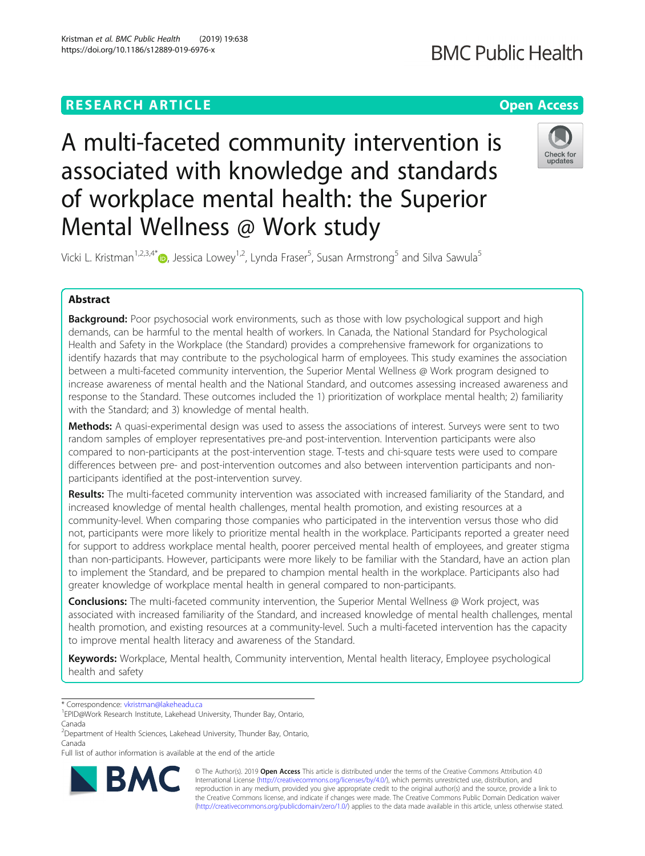# **RESEARCH ARTICLE Example 2018 12:30 THE Open Access**

# **BMC Public Health**

A multi-faceted community intervention is associated with knowledge and standards of workplace mental health: the Superior Mental Wellness @ Work study



Vicki L. Kristman<sup>1[,](http://orcid.org/0000-0001-5508-0552)2,3,4\*</sup> $\bullet$ , Jessica Lowey<sup>1,2</sup>, Lynda Fraser<sup>5</sup>, Susan Armstrong<sup>5</sup> and Silva Sawula<sup>5</sup>

# Abstract

Background: Poor psychosocial work environments, such as those with low psychological support and high demands, can be harmful to the mental health of workers. In Canada, the National Standard for Psychological Health and Safety in the Workplace (the Standard) provides a comprehensive framework for organizations to identify hazards that may contribute to the psychological harm of employees. This study examines the association between a multi-faceted community intervention, the Superior Mental Wellness @ Work program designed to increase awareness of mental health and the National Standard, and outcomes assessing increased awareness and response to the Standard. These outcomes included the 1) prioritization of workplace mental health; 2) familiarity with the Standard; and 3) knowledge of mental health.

**Methods:** A quasi-experimental design was used to assess the associations of interest. Surveys were sent to two random samples of employer representatives pre-and post-intervention. Intervention participants were also compared to non-participants at the post-intervention stage. T-tests and chi-square tests were used to compare differences between pre- and post-intervention outcomes and also between intervention participants and nonparticipants identified at the post-intervention survey.

Results: The multi-faceted community intervention was associated with increased familiarity of the Standard, and increased knowledge of mental health challenges, mental health promotion, and existing resources at a community-level. When comparing those companies who participated in the intervention versus those who did not, participants were more likely to prioritize mental health in the workplace. Participants reported a greater need for support to address workplace mental health, poorer perceived mental health of employees, and greater stigma than non-participants. However, participants were more likely to be familiar with the Standard, have an action plan to implement the Standard, and be prepared to champion mental health in the workplace. Participants also had greater knowledge of workplace mental health in general compared to non-participants.

**Conclusions:** The multi-faceted community intervention, the Superior Mental Wellness @ Work project, was associated with increased familiarity of the Standard, and increased knowledge of mental health challenges, mental health promotion, and existing resources at a community-level. Such a multi-faceted intervention has the capacity to improve mental health literacy and awareness of the Standard.

Keywords: Workplace, Mental health, Community intervention, Mental health literacy, Employee psychological health and safety

Full list of author information is available at the end of the article



© The Author(s). 2019 Open Access This article is distributed under the terms of the Creative Commons Attribution 4.0 International License [\(http://creativecommons.org/licenses/by/4.0/](http://creativecommons.org/licenses/by/4.0/)), which permits unrestricted use, distribution, and reproduction in any medium, provided you give appropriate credit to the original author(s) and the source, provide a link to the Creative Commons license, and indicate if changes were made. The Creative Commons Public Domain Dedication waiver [\(http://creativecommons.org/publicdomain/zero/1.0/](http://creativecommons.org/publicdomain/zero/1.0/)) applies to the data made available in this article, unless otherwise stated.

<sup>\*</sup> Correspondence: [vkristman@lakeheadu.ca](mailto:vkristman@lakeheadu.ca) <sup>1</sup>

EPID@Work Research Institute, Lakehead University, Thunder Bay, Ontario, Canada

<sup>&</sup>lt;sup>2</sup>Department of Health Sciences, Lakehead University, Thunder Bay, Ontario, Canada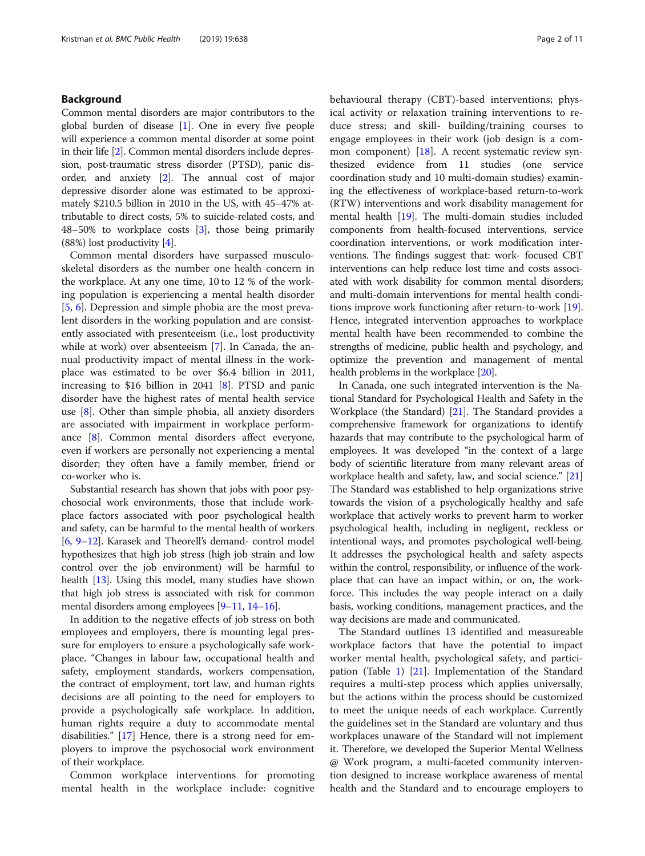# Background

Common mental disorders are major contributors to the global burden of disease  $[1]$  $[1]$  $[1]$ . One in every five people will experience a common mental disorder at some point in their life [\[2\]](#page-10-0). Common mental disorders include depression, post-traumatic stress disorder (PTSD), panic disorder, and anxiety [\[2\]](#page-10-0). The annual cost of major depressive disorder alone was estimated to be approximately \$210.5 billion in 2010 in the US, with 45–47% attributable to direct costs, 5% to suicide-related costs, and 48–50% to workplace costs [[3](#page-10-0)], those being primarily (88%) lost productivity [[4\]](#page-10-0).

Common mental disorders have surpassed musculoskeletal disorders as the number one health concern in the workplace. At any one time, 10 to 12 % of the working population is experiencing a mental health disorder [[5,](#page-10-0) [6\]](#page-10-0). Depression and simple phobia are the most prevalent disorders in the working population and are consistently associated with presenteeism (i.e., lost productivity while at work) over absenteeism [\[7](#page-10-0)]. In Canada, the annual productivity impact of mental illness in the workplace was estimated to be over \$6.4 billion in 2011, increasing to \$16 billion in 2041 [\[8](#page-10-0)]. PTSD and panic disorder have the highest rates of mental health service use [\[8](#page-10-0)]. Other than simple phobia, all anxiety disorders are associated with impairment in workplace performance [[8\]](#page-10-0). Common mental disorders affect everyone, even if workers are personally not experiencing a mental disorder; they often have a family member, friend or co-worker who is.

Substantial research has shown that jobs with poor psychosocial work environments, those that include workplace factors associated with poor psychological health and safety, can be harmful to the mental health of workers [[6,](#page-10-0) [9](#page-10-0)–[12](#page-10-0)]. Karasek and Theorell's demand- control model hypothesizes that high job stress (high job strain and low control over the job environment) will be harmful to health [\[13](#page-10-0)]. Using this model, many studies have shown that high job stress is associated with risk for common mental disorders among employees [[9](#page-10-0)–[11,](#page-10-0) [14](#page-10-0)–[16\]](#page-10-0).

In addition to the negative effects of job stress on both employees and employers, there is mounting legal pressure for employers to ensure a psychologically safe workplace. "Changes in labour law, occupational health and safety, employment standards, workers compensation, the contract of employment, tort law, and human rights decisions are all pointing to the need for employers to provide a psychologically safe workplace. In addition, human rights require a duty to accommodate mental disabilities." [\[17](#page-10-0)] Hence, there is a strong need for employers to improve the psychosocial work environment of their workplace.

Common workplace interventions for promoting mental health in the workplace include: cognitive behavioural therapy (CBT)-based interventions; physical activity or relaxation training interventions to reduce stress; and skill- building/training courses to engage employees in their work (job design is a common component) [\[18](#page-10-0)]. A recent systematic review synthesized evidence from 11 studies (one service coordination study and 10 multi-domain studies) examining the effectiveness of workplace-based return-to-work (RTW) interventions and work disability management for mental health [\[19\]](#page-10-0). The multi-domain studies included components from health-focused interventions, service coordination interventions, or work modification interventions. The findings suggest that: work- focused CBT interventions can help reduce lost time and costs associated with work disability for common mental disorders; and multi-domain interventions for mental health conditions improve work functioning after return-to-work [[19](#page-10-0)]. Hence, integrated intervention approaches to workplace mental health have been recommended to combine the strengths of medicine, public health and psychology, and optimize the prevention and management of mental health problems in the workplace [\[20\]](#page-10-0).

In Canada, one such integrated intervention is the National Standard for Psychological Health and Safety in the Workplace (the Standard) [\[21\]](#page-10-0). The Standard provides a comprehensive framework for organizations to identify hazards that may contribute to the psychological harm of employees. It was developed "in the context of a large body of scientific literature from many relevant areas of workplace health and safety, law, and social science." [[21](#page-10-0)] The Standard was established to help organizations strive towards the vision of a psychologically healthy and safe workplace that actively works to prevent harm to worker psychological health, including in negligent, reckless or intentional ways, and promotes psychological well-being. It addresses the psychological health and safety aspects within the control, responsibility, or influence of the workplace that can have an impact within, or on, the workforce. This includes the way people interact on a daily basis, working conditions, management practices, and the way decisions are made and communicated.

The Standard outlines 13 identified and measureable workplace factors that have the potential to impact worker mental health, psychological safety, and participation (Table [1](#page-2-0)) [[21](#page-10-0)]. Implementation of the Standard requires a multi-step process which applies universally, but the actions within the process should be customized to meet the unique needs of each workplace. Currently the guidelines set in the Standard are voluntary and thus workplaces unaware of the Standard will not implement it. Therefore, we developed the Superior Mental Wellness @ Work program, a multi-faceted community intervention designed to increase workplace awareness of mental health and the Standard and to encourage employers to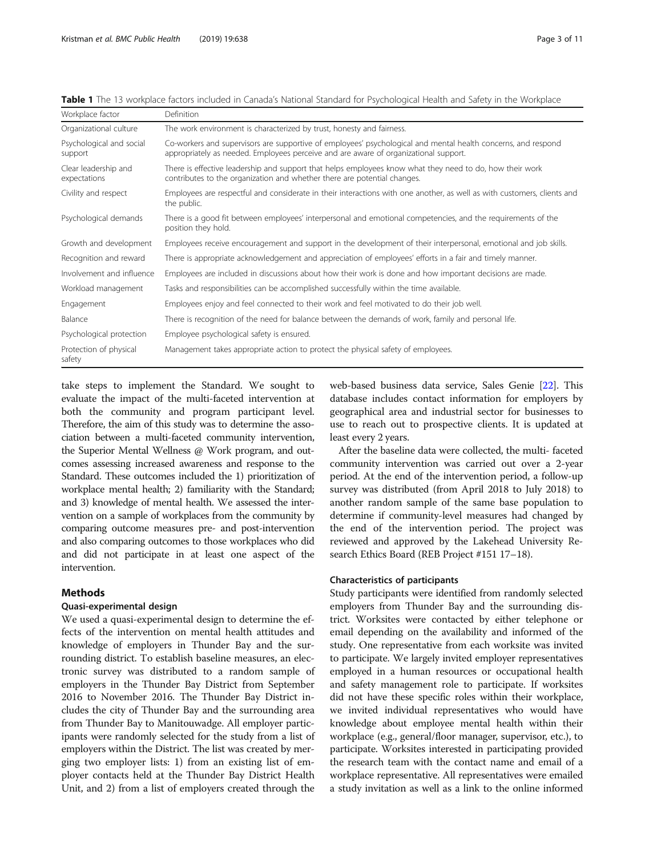| Workplace factor                     | Definition                                                                                                                                                                                            |
|--------------------------------------|-------------------------------------------------------------------------------------------------------------------------------------------------------------------------------------------------------|
| Organizational culture               | The work environment is characterized by trust, honesty and fairness.                                                                                                                                 |
| Psychological and social<br>support  | Co-workers and supervisors are supportive of employees' psychological and mental health concerns, and respond<br>appropriately as needed. Employees perceive and are aware of organizational support. |
| Clear leadership and<br>expectations | There is effective leadership and support that helps employees know what they need to do, how their work<br>contributes to the organization and whether there are potential changes.                  |
| Civility and respect                 | Employees are respectful and considerate in their interactions with one another, as well as with customers, clients and<br>the public.                                                                |
| Psychological demands                | There is a good fit between employees' interpersonal and emotional competencies, and the requirements of the<br>position they hold.                                                                   |
| Growth and development               | Employees receive encouragement and support in the development of their interpersonal, emotional and job skills.                                                                                      |
| Recognition and reward               | There is appropriate acknowledgement and appreciation of employees' efforts in a fair and timely manner.                                                                                              |
| Involvement and influence            | Employees are included in discussions about how their work is done and how important decisions are made.                                                                                              |
| Workload management                  | Tasks and responsibilities can be accomplished successfully within the time available.                                                                                                                |
| Engagement                           | Employees enjoy and feel connected to their work and feel motivated to do their job well.                                                                                                             |
| Balance                              | There is recognition of the need for balance between the demands of work, family and personal life.                                                                                                   |
| Psychological protection             | Employee psychological safety is ensured.                                                                                                                                                             |
| Protection of physical<br>safety     | Management takes appropriate action to protect the physical safety of employees.                                                                                                                      |

<span id="page-2-0"></span>Table 1 The 13 workplace factors included in Canada's National Standard for Psychological Health and Safety in the Workplace

take steps to implement the Standard. We sought to evaluate the impact of the multi-faceted intervention at both the community and program participant level. Therefore, the aim of this study was to determine the association between a multi-faceted community intervention, the Superior Mental Wellness @ Work program, and outcomes assessing increased awareness and response to the Standard. These outcomes included the 1) prioritization of workplace mental health; 2) familiarity with the Standard; and 3) knowledge of mental health. We assessed the intervention on a sample of workplaces from the community by comparing outcome measures pre- and post-intervention and also comparing outcomes to those workplaces who did and did not participate in at least one aspect of the intervention.

# Methods

# Quasi-experimental design

We used a quasi-experimental design to determine the effects of the intervention on mental health attitudes and knowledge of employers in Thunder Bay and the surrounding district. To establish baseline measures, an electronic survey was distributed to a random sample of employers in the Thunder Bay District from September 2016 to November 2016. The Thunder Bay District includes the city of Thunder Bay and the surrounding area from Thunder Bay to Manitouwadge. All employer participants were randomly selected for the study from a list of employers within the District. The list was created by merging two employer lists: 1) from an existing list of employer contacts held at the Thunder Bay District Health Unit, and 2) from a list of employers created through the

web-based business data service, Sales Genie [\[22\]](#page-10-0). This database includes contact information for employers by geographical area and industrial sector for businesses to use to reach out to prospective clients. It is updated at least every 2 years.

After the baseline data were collected, the multi- faceted community intervention was carried out over a 2-year period. At the end of the intervention period, a follow-up survey was distributed (from April 2018 to July 2018) to another random sample of the same base population to determine if community-level measures had changed by the end of the intervention period. The project was reviewed and approved by the Lakehead University Research Ethics Board (REB Project #151 17–18).

# Characteristics of participants

Study participants were identified from randomly selected employers from Thunder Bay and the surrounding district. Worksites were contacted by either telephone or email depending on the availability and informed of the study. One representative from each worksite was invited to participate. We largely invited employer representatives employed in a human resources or occupational health and safety management role to participate. If worksites did not have these specific roles within their workplace, we invited individual representatives who would have knowledge about employee mental health within their workplace (e.g., general/floor manager, supervisor, etc.), to participate. Worksites interested in participating provided the research team with the contact name and email of a workplace representative. All representatives were emailed a study invitation as well as a link to the online informed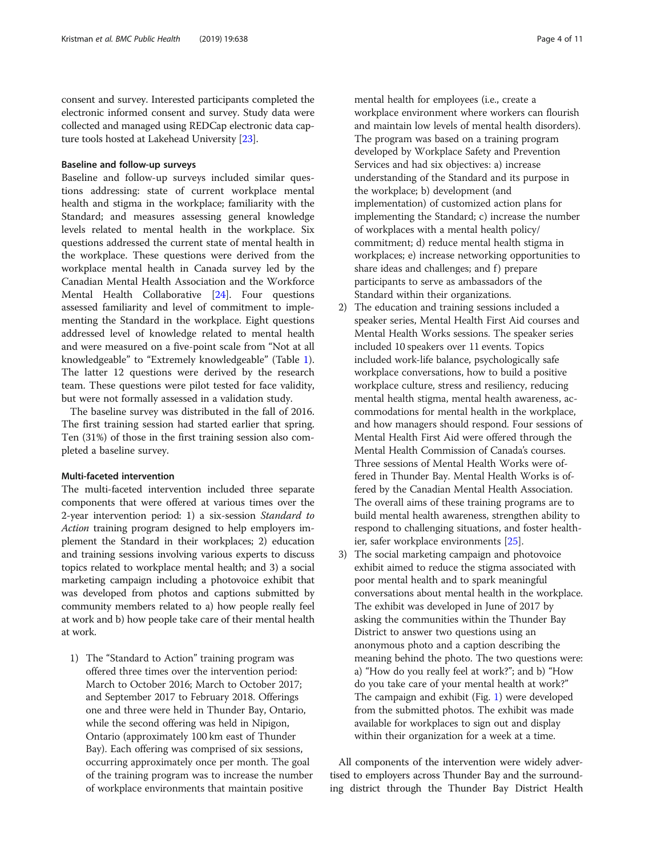consent and survey. Interested participants completed the electronic informed consent and survey. Study data were collected and managed using REDCap electronic data capture tools hosted at Lakehead University [[23](#page-10-0)].

# Baseline and follow-up surveys

Baseline and follow-up surveys included similar questions addressing: state of current workplace mental health and stigma in the workplace; familiarity with the Standard; and measures assessing general knowledge levels related to mental health in the workplace. Six questions addressed the current state of mental health in the workplace. These questions were derived from the workplace mental health in Canada survey led by the Canadian Mental Health Association and the Workforce Mental Health Collaborative [[24](#page-10-0)]. Four questions assessed familiarity and level of commitment to implementing the Standard in the workplace. Eight questions addressed level of knowledge related to mental health and were measured on a five-point scale from "Not at all knowledgeable" to "Extremely knowledgeable" (Table [1](#page-2-0)). The latter 12 questions were derived by the research team. These questions were pilot tested for face validity, but were not formally assessed in a validation study.

The baseline survey was distributed in the fall of 2016. The first training session had started earlier that spring. Ten (31%) of those in the first training session also completed a baseline survey.

# Multi-faceted intervention

The multi-faceted intervention included three separate components that were offered at various times over the 2-year intervention period: 1) a six-session Standard to Action training program designed to help employers implement the Standard in their workplaces; 2) education and training sessions involving various experts to discuss topics related to workplace mental health; and 3) a social marketing campaign including a photovoice exhibit that was developed from photos and captions submitted by community members related to a) how people really feel at work and b) how people take care of their mental health at work.

1) The "Standard to Action" training program was offered three times over the intervention period: March to October 2016; March to October 2017; and September 2017 to February 2018. Offerings one and three were held in Thunder Bay, Ontario, while the second offering was held in Nipigon, Ontario (approximately 100 km east of Thunder Bay). Each offering was comprised of six sessions, occurring approximately once per month. The goal of the training program was to increase the number of workplace environments that maintain positive

mental health for employees (i.e., create a workplace environment where workers can flourish and maintain low levels of mental health disorders). The program was based on a training program developed by Workplace Safety and Prevention Services and had six objectives: a) increase understanding of the Standard and its purpose in the workplace; b) development (and implementation) of customized action plans for implementing the Standard; c) increase the number of workplaces with a mental health policy/ commitment; d) reduce mental health stigma in workplaces; e) increase networking opportunities to share ideas and challenges; and f) prepare

Standard within their organizations. 2) The education and training sessions included a speaker series, Mental Health First Aid courses and Mental Health Works sessions. The speaker series included 10 speakers over 11 events. Topics included work-life balance, psychologically safe workplace conversations, how to build a positive workplace culture, stress and resiliency, reducing mental health stigma, mental health awareness, accommodations for mental health in the workplace, and how managers should respond. Four sessions of Mental Health First Aid were offered through the Mental Health Commission of Canada's courses. Three sessions of Mental Health Works were offered in Thunder Bay. Mental Health Works is offered by the Canadian Mental Health Association. The overall aims of these training programs are to build mental health awareness, strengthen ability to respond to challenging situations, and foster healthier, safer workplace environments [[25](#page-10-0)].

participants to serve as ambassadors of the

3) The social marketing campaign and photovoice exhibit aimed to reduce the stigma associated with poor mental health and to spark meaningful conversations about mental health in the workplace. The exhibit was developed in June of 2017 by asking the communities within the Thunder Bay District to answer two questions using an anonymous photo and a caption describing the meaning behind the photo. The two questions were: a) "How do you really feel at work?"; and b) "How do you take care of your mental health at work?" The campaign and exhibit (Fig. [1\)](#page-4-0) were developed from the submitted photos. The exhibit was made available for workplaces to sign out and display within their organization for a week at a time.

All components of the intervention were widely advertised to employers across Thunder Bay and the surrounding district through the Thunder Bay District Health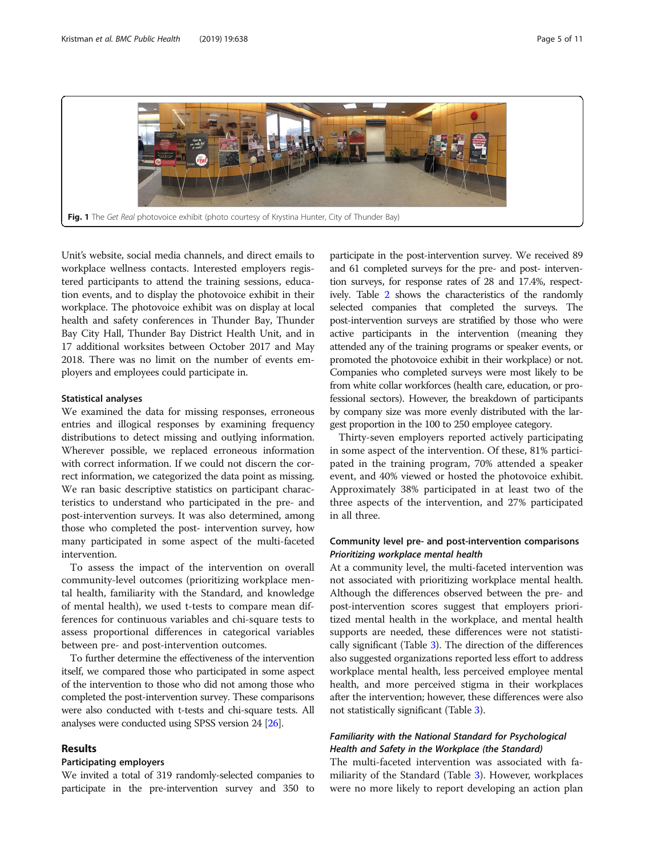<span id="page-4-0"></span>

Unit's website, social media channels, and direct emails to workplace wellness contacts. Interested employers registered participants to attend the training sessions, education events, and to display the photovoice exhibit in their workplace. The photovoice exhibit was on display at local health and safety conferences in Thunder Bay, Thunder Bay City Hall, Thunder Bay District Health Unit, and in 17 additional worksites between October 2017 and May 2018. There was no limit on the number of events employers and employees could participate in.

# Statistical analyses

We examined the data for missing responses, erroneous entries and illogical responses by examining frequency distributions to detect missing and outlying information. Wherever possible, we replaced erroneous information with correct information. If we could not discern the correct information, we categorized the data point as missing. We ran basic descriptive statistics on participant characteristics to understand who participated in the pre- and post-intervention surveys. It was also determined, among those who completed the post- intervention survey, how many participated in some aspect of the multi-faceted intervention.

To assess the impact of the intervention on overall community-level outcomes (prioritizing workplace mental health, familiarity with the Standard, and knowledge of mental health), we used t-tests to compare mean differences for continuous variables and chi-square tests to assess proportional differences in categorical variables between pre- and post-intervention outcomes.

To further determine the effectiveness of the intervention itself, we compared those who participated in some aspect of the intervention to those who did not among those who completed the post-intervention survey. These comparisons were also conducted with t-tests and chi-square tests. All analyses were conducted using SPSS version 24 [\[26\]](#page-10-0).

# Results

# Participating employers

We invited a total of 319 randomly-selected companies to participate in the pre-intervention survey and 350 to

participate in the post-intervention survey. We received 89 and 61 completed surveys for the pre- and post- intervention surveys, for response rates of 28 and 17.4%, respectively. Table [2](#page-5-0) shows the characteristics of the randomly selected companies that completed the surveys. The post-intervention surveys are stratified by those who were active participants in the intervention (meaning they attended any of the training programs or speaker events, or promoted the photovoice exhibit in their workplace) or not. Companies who completed surveys were most likely to be from white collar workforces (health care, education, or professional sectors). However, the breakdown of participants by company size was more evenly distributed with the largest proportion in the 100 to 250 employee category.

Thirty-seven employers reported actively participating in some aspect of the intervention. Of these, 81% participated in the training program, 70% attended a speaker event, and 40% viewed or hosted the photovoice exhibit. Approximately 38% participated in at least two of the three aspects of the intervention, and 27% participated in all three.

# Community level pre- and post-intervention comparisons Prioritizing workplace mental health

At a community level, the multi-faceted intervention was not associated with prioritizing workplace mental health. Although the differences observed between the pre- and post-intervention scores suggest that employers prioritized mental health in the workplace, and mental health supports are needed, these differences were not statistically significant (Table [3\)](#page-7-0). The direction of the differences also suggested organizations reported less effort to address workplace mental health, less perceived employee mental health, and more perceived stigma in their workplaces after the intervention; however, these differences were also not statistically significant (Table [3](#page-7-0)).

# Familiarity with the National Standard for Psychological Health and Safety in the Workplace (the Standard)

The multi-faceted intervention was associated with familiarity of the Standard (Table [3](#page-7-0)). However, workplaces were no more likely to report developing an action plan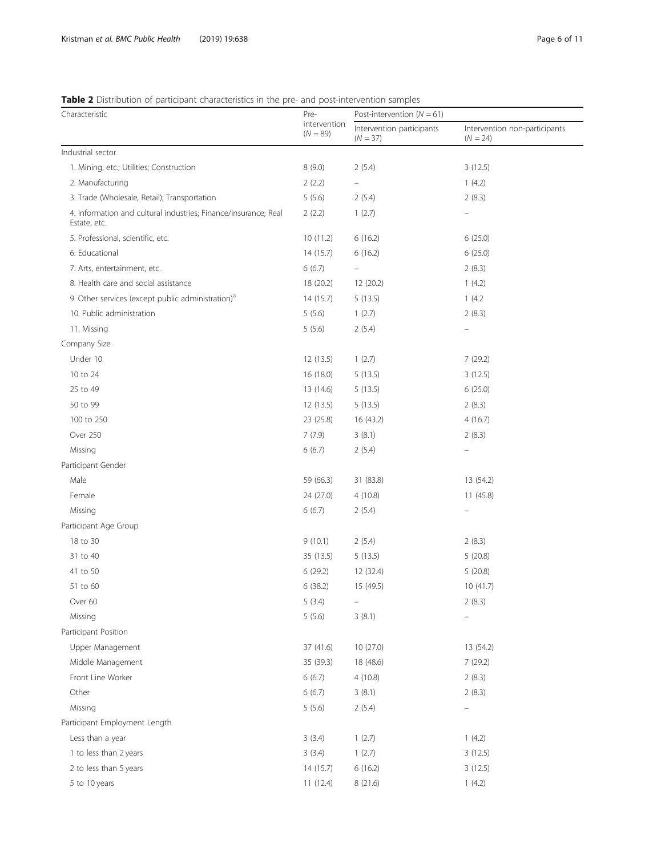# <span id="page-5-0"></span>Table 2 Distribution of participant characteristics in the pre- and post-intervention samples

| <b>TWARE</b> Protribution or participant characteristics in the pre- and post intervention samples<br>Characteristic | Pre-<br>intervention<br>$(N = 89)$ | Post-intervention $(N = 61)$            |                                             |
|----------------------------------------------------------------------------------------------------------------------|------------------------------------|-----------------------------------------|---------------------------------------------|
|                                                                                                                      |                                    | Intervention participants<br>$(N = 37)$ | Intervention non-participants<br>$(N = 24)$ |
| Industrial sector                                                                                                    |                                    |                                         |                                             |
| 1. Mining, etc.; Utilities; Construction                                                                             | 8(9.0)                             | 2(5.4)                                  | 3(12.5)                                     |
| 2. Manufacturing                                                                                                     | 2(2.2)                             | -                                       | 1(4.2)                                      |
| 3. Trade (Wholesale, Retail); Transportation                                                                         | 5(5.6)                             | 2(5.4)                                  | 2(8.3)                                      |
| 4. Information and cultural industries; Finance/insurance; Real<br>Estate, etc.                                      | 2(2.2)                             | 1(2.7)                                  |                                             |
| 5. Professional, scientific, etc.                                                                                    | 10(11.2)                           | 6(16.2)                                 | 6(25.0)                                     |
| 6. Educational                                                                                                       | 14(15.7)                           | 6(16.2)                                 | 6(25.0)                                     |
| 7. Arts, entertainment, etc.                                                                                         | 6(6.7)                             | $\equiv$                                | 2(8.3)                                      |
| 8. Health care and social assistance                                                                                 | 18 (20.2)                          | 12 (20.2)                               | 1(4.2)                                      |
| 9. Other services (except public administration) <sup>a</sup>                                                        | 14(15.7)                           | 5(13.5)                                 | 1(4.2)                                      |
| 10. Public administration                                                                                            | 5(5.6)                             | 1(2.7)                                  | 2(8.3)                                      |
| 11. Missing                                                                                                          | 5(5.6)                             | 2(5.4)                                  |                                             |
| Company Size                                                                                                         |                                    |                                         |                                             |
| Under 10                                                                                                             | 12(13.5)                           | 1(2.7)                                  | 7(29.2)                                     |
| 10 to 24                                                                                                             | 16 (18.0)                          | 5(13.5)                                 | 3(12.5)                                     |
| 25 to 49                                                                                                             | 13 (14.6)                          | 5(13.5)                                 | 6(25.0)                                     |
| 50 to 99                                                                                                             | 12(13.5)                           | 5(13.5)                                 | 2(8.3)                                      |
| 100 to 250                                                                                                           | 23 (25.8)                          | 16 (43.2)                               | 4(16.7)                                     |
| Over 250                                                                                                             | 7(7.9)                             | 3(8.1)                                  | 2(8.3)                                      |
| Missing                                                                                                              | 6(6.7)                             | 2(5.4)                                  |                                             |
| Participant Gender                                                                                                   |                                    |                                         |                                             |
| Male                                                                                                                 | 59 (66.3)                          | 31 (83.8)                               | 13 (54.2)                                   |
| Female                                                                                                               | 24 (27.0)                          | 4(10.8)                                 | 11(45.8)                                    |
| Missing                                                                                                              | 6(6.7)                             | 2(5.4)                                  |                                             |
| Participant Age Group                                                                                                |                                    |                                         |                                             |
| 18 to 30                                                                                                             | 9(10.1)                            | 2(5.4)                                  | 2(8.3)                                      |
| 31 to 40                                                                                                             | 35 (13.5)                          | 5(13.5)                                 | 5(20.8)                                     |
| 41 to 50                                                                                                             | 6(29.2)                            | 12 (32.4)                               | 5(20.8)                                     |
| 51 to 60                                                                                                             | 6(38.2)                            | 15 (49.5)                               | 10 (41.7)                                   |
| Over 60                                                                                                              | 5(3.4)                             |                                         | 2(8.3)                                      |
| Missing                                                                                                              | 5(5.6)                             | 3(8.1)                                  |                                             |
| Participant Position                                                                                                 |                                    |                                         |                                             |
| Upper Management                                                                                                     | 37 (41.6)                          | 10 (27.0)                               | 13 (54.2)                                   |
| Middle Management                                                                                                    | 35 (39.3)                          | 18 (48.6)                               | 7(29.2)                                     |
| Front Line Worker                                                                                                    | 6(6.7)                             | 4(10.8)                                 | 2(8.3)                                      |
| Other                                                                                                                | 6(6.7)                             | 3(8.1)                                  | 2(8.3)                                      |
| Missing                                                                                                              | 5(5.6)                             | 2(5.4)                                  | $\overline{\phantom{0}}$                    |
| Participant Employment Length                                                                                        |                                    |                                         |                                             |
| Less than a year                                                                                                     | 3(3.4)                             | 1(2.7)                                  | 1(4.2)                                      |
| 1 to less than 2 years                                                                                               | 3(3.4)                             | 1(2.7)                                  | 3(12.5)                                     |
| 2 to less than 5 years                                                                                               | 14 (15.7)                          | 6(16.2)                                 | 3(12.5)                                     |
| 5 to 10 years                                                                                                        | 11(12.4)                           | 8 (21.6)                                | 1(4.2)                                      |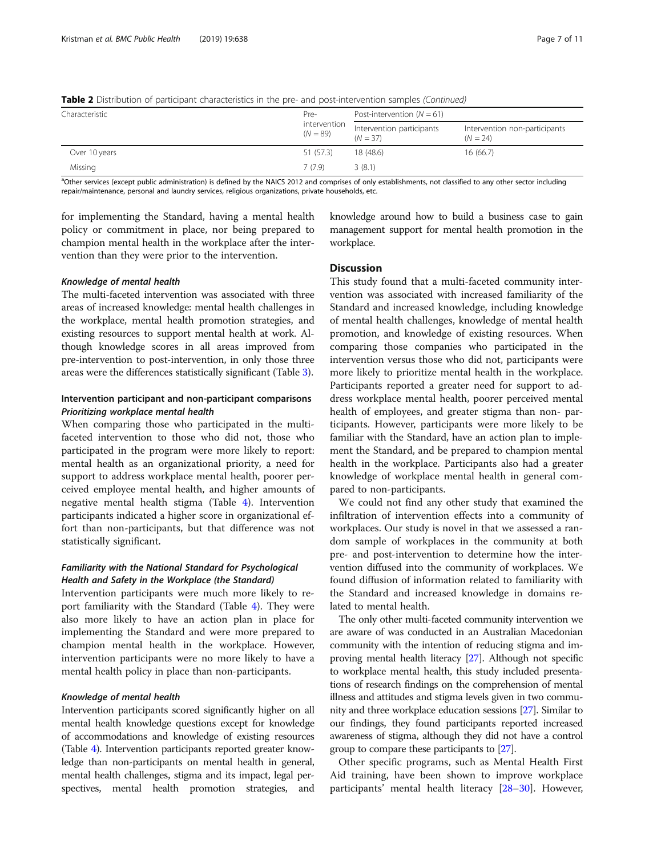| Characteristic | Pre-<br>intervention<br>$(N = 89)$ | Post-intervention $(N = 61)$            |                                             |  |
|----------------|------------------------------------|-----------------------------------------|---------------------------------------------|--|
|                |                                    | Intervention participants<br>$(N = 37)$ | Intervention non-participants<br>$(N = 24)$ |  |
| Over 10 years  | 51 (57.3)                          | 18 (48.6)                               | 16 (66.7)                                   |  |
| Missing        | 7(7.9)                             | 3(8.1)                                  |                                             |  |

Table 2 Distribution of participant characteristics in the pre- and post-intervention samples (Continued)

<sup>a</sup>Other services (except public administration) is defined by the NAICS 2012 and comprises of only establishments, not classified to any other sector including repair/maintenance, personal and laundry services, religious organizations, private households, etc.

for implementing the Standard, having a mental health policy or commitment in place, nor being prepared to champion mental health in the workplace after the intervention than they were prior to the intervention.

# Knowledge of mental health

The multi-faceted intervention was associated with three areas of increased knowledge: mental health challenges in the workplace, mental health promotion strategies, and existing resources to support mental health at work. Although knowledge scores in all areas improved from pre-intervention to post-intervention, in only those three areas were the differences statistically significant (Table [3](#page-7-0)).

# Intervention participant and non-participant comparisons Prioritizing workplace mental health

When comparing those who participated in the multifaceted intervention to those who did not, those who participated in the program were more likely to report: mental health as an organizational priority, a need for support to address workplace mental health, poorer perceived employee mental health, and higher amounts of negative mental health stigma (Table [4\)](#page-8-0). Intervention participants indicated a higher score in organizational effort than non-participants, but that difference was not statistically significant.

# Familiarity with the National Standard for Psychological Health and Safety in the Workplace (the Standard)

Intervention participants were much more likely to report familiarity with the Standard (Table [4](#page-8-0)). They were also more likely to have an action plan in place for implementing the Standard and were more prepared to champion mental health in the workplace. However, intervention participants were no more likely to have a mental health policy in place than non-participants.

# Knowledge of mental health

Intervention participants scored significantly higher on all mental health knowledge questions except for knowledge of accommodations and knowledge of existing resources (Table [4](#page-8-0)). Intervention participants reported greater knowledge than non-participants on mental health in general, mental health challenges, stigma and its impact, legal perspectives, mental health promotion strategies, and

knowledge around how to build a business case to gain management support for mental health promotion in the workplace.

# **Discussion**

This study found that a multi-faceted community intervention was associated with increased familiarity of the Standard and increased knowledge, including knowledge of mental health challenges, knowledge of mental health promotion, and knowledge of existing resources. When comparing those companies who participated in the intervention versus those who did not, participants were more likely to prioritize mental health in the workplace. Participants reported a greater need for support to address workplace mental health, poorer perceived mental health of employees, and greater stigma than non- participants. However, participants were more likely to be familiar with the Standard, have an action plan to implement the Standard, and be prepared to champion mental health in the workplace. Participants also had a greater knowledge of workplace mental health in general compared to non-participants.

We could not find any other study that examined the infiltration of intervention effects into a community of workplaces. Our study is novel in that we assessed a random sample of workplaces in the community at both pre- and post-intervention to determine how the intervention diffused into the community of workplaces. We found diffusion of information related to familiarity with the Standard and increased knowledge in domains related to mental health.

The only other multi-faceted community intervention we are aware of was conducted in an Australian Macedonian community with the intention of reducing stigma and improving mental health literacy [\[27](#page-10-0)]. Although not specific to workplace mental health, this study included presentations of research findings on the comprehension of mental illness and attitudes and stigma levels given in two community and three workplace education sessions [\[27](#page-10-0)]. Similar to our findings, they found participants reported increased awareness of stigma, although they did not have a control group to compare these participants to [\[27\]](#page-10-0).

Other specific programs, such as Mental Health First Aid training, have been shown to improve workplace participants' mental health literacy [[28](#page-10-0)–[30](#page-10-0)]. However,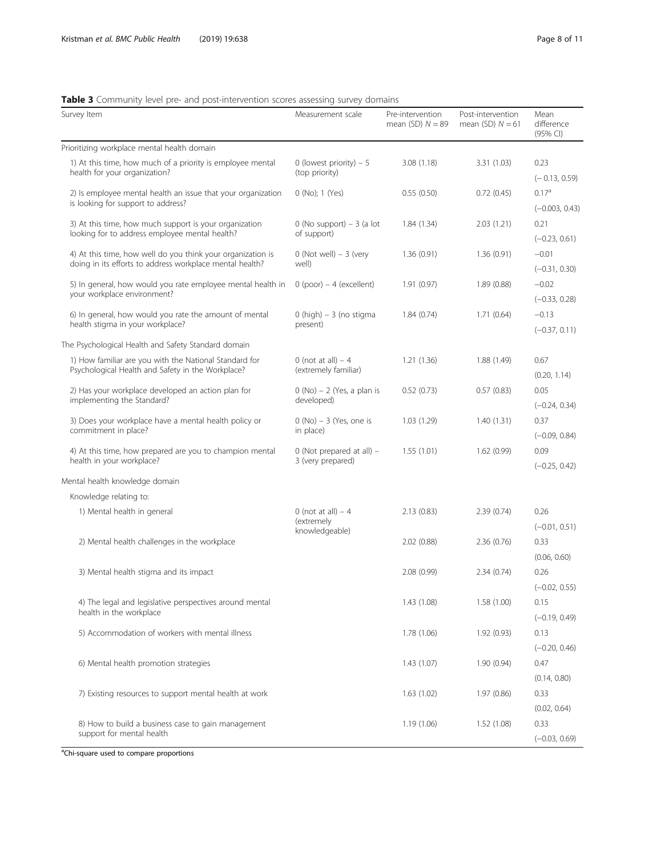# <span id="page-7-0"></span>Table 3 Community level pre- and post-intervention scores assessing survey domains

| Survey Item                                                                                                             | Measurement scale                            | Pre-intervention<br>mean $(SD)$ $N = 89$ | Post-intervention<br>mean (SD) $N = 61$ | Mean<br>difference<br>(95% CI) |
|-------------------------------------------------------------------------------------------------------------------------|----------------------------------------------|------------------------------------------|-----------------------------------------|--------------------------------|
| Prioritizing workplace mental health domain                                                                             |                                              |                                          |                                         |                                |
| 1) At this time, how much of a priority is employee mental                                                              | 0 (lowest priority) $-5$                     | 3.08(1.18)                               | 3.31(1.03)                              | 0.23                           |
| health for your organization?                                                                                           | (top priority)                               |                                          |                                         | $(-0.13, 0.59)$                |
| 2) Is employee mental health an issue that your organization                                                            | 0 (No); 1 (Yes)                              | 0.55(0.50)                               | 0.72(0.45)                              | 0.17 <sup>a</sup>              |
| is looking for support to address?                                                                                      |                                              |                                          |                                         | $(-0.003, 0.43)$               |
| 3) At this time, how much support is your organization                                                                  | $0$ (No support) $-3$ (a lot                 | 1.84(1.34)                               | 2.03(1.21)                              | 0.21                           |
| looking for to address employee mental health?                                                                          | of support)                                  |                                          |                                         | $(-0.23, 0.61)$                |
| 4) At this time, how well do you think your organization is<br>doing in its efforts to address workplace mental health? | $0$ (Not well) $-3$ (very<br>well)           | 1.36(0.91)                               | 1.36(0.91)                              | $-0.01$<br>$(-0.31, 0.30)$     |
| 5) In general, how would you rate employee mental health in                                                             | $0$ (poor) – 4 (excellent)                   | 1.91(0.97)                               | 1.89(0.88)                              | $-0.02$                        |
| your workplace environment?                                                                                             |                                              |                                          |                                         | $(-0.33, 0.28)$                |
| 6) In general, how would you rate the amount of mental                                                                  | $0$ (high) $-3$ (no stigma                   | 1.84(0.74)                               | 1.71(0.64)                              | $-0.13$                        |
| health stigma in your workplace?                                                                                        | present)                                     |                                          |                                         | $(-0.37, 0.11)$                |
| The Psychological Health and Safety Standard domain                                                                     |                                              |                                          |                                         |                                |
| 1) How familiar are you with the National Standard for<br>Psychological Health and Safety in the Workplace?             | 0 (not at all) $-4$<br>(extremely familiar)  | 1.21(1.36)                               | 1.88(1.49)                              | 0.67<br>(0.20, 1.14)           |
| 2) Has your workplace developed an action plan for<br>implementing the Standard?                                        | $0$ (No) $- 2$ (Yes, a plan is<br>developed) | 0.52(0.73)                               | 0.57(0.83)                              | 0.05<br>$(-0.24, 0.34)$        |
| 3) Does your workplace have a mental health policy or                                                                   | $0(No) - 3(Yes, one is$                      | 1.03(1.29)                               | 1.40(1.31)                              | 0.37                           |
| commitment in place?                                                                                                    | in place)                                    |                                          |                                         | $(-0.09, 0.84)$                |
| 4) At this time, how prepared are you to champion mental                                                                | 0 (Not prepared at all) $-$                  | 1.55(1.01)                               | 1.62(0.99)                              | 0.09                           |
| health in your workplace?                                                                                               | 3 (very prepared)                            |                                          |                                         | $(-0.25, 0.42)$                |
| Mental health knowledge domain                                                                                          |                                              |                                          |                                         |                                |
| Knowledge relating to:                                                                                                  |                                              |                                          |                                         |                                |
| 1) Mental health in general                                                                                             | 0 (not at all) $-4$                          | 2.13(0.83)                               | 2.39(0.74)                              | 0.26                           |
|                                                                                                                         | (extremely<br>knowledgeable)                 |                                          |                                         | $(-0.01, 0.51)$                |
| 2) Mental health challenges in the workplace                                                                            |                                              | 2.02(0.88)                               | 2.36(0.76)                              | 0.33                           |
|                                                                                                                         |                                              |                                          |                                         | (0.06, 0.60)                   |
| 3) Mental health stigma and its impact                                                                                  |                                              | 2.08(0.99)                               | 2.34(0.74)                              | 0.26                           |
|                                                                                                                         |                                              |                                          |                                         | $(-0.02, 0.55)$                |
| 4) The legal and legislative perspectives around mental                                                                 |                                              | 1.43(1.08)                               | 1.58 (1.00)                             | 0.15                           |
| health in the workplace                                                                                                 |                                              |                                          |                                         | $(-0.19, 0.49)$                |
| 5) Accommodation of workers with mental illness                                                                         |                                              | 1.78(1.06)                               | 1.92(0.93)                              | 0.13                           |
|                                                                                                                         |                                              |                                          |                                         | $(-0.20, 0.46)$                |
| 6) Mental health promotion strategies                                                                                   |                                              | 1.43(1.07)                               | 1.90(0.94)                              | 0.47                           |
|                                                                                                                         |                                              |                                          |                                         | (0.14, 0.80)                   |
| 7) Existing resources to support mental health at work                                                                  |                                              | 1.63(1.02)                               | 1.97(0.86)                              | 0.33                           |
|                                                                                                                         |                                              |                                          |                                         | (0.02, 0.64)                   |
| 8) How to build a business case to gain management                                                                      |                                              | 1.19(1.06)                               | 1.52(1.08)                              | 0.33                           |
| support for mental health                                                                                               |                                              |                                          |                                         | $(-0.03, 0.69)$                |

<sup>a</sup>Chi-square used to compare proportions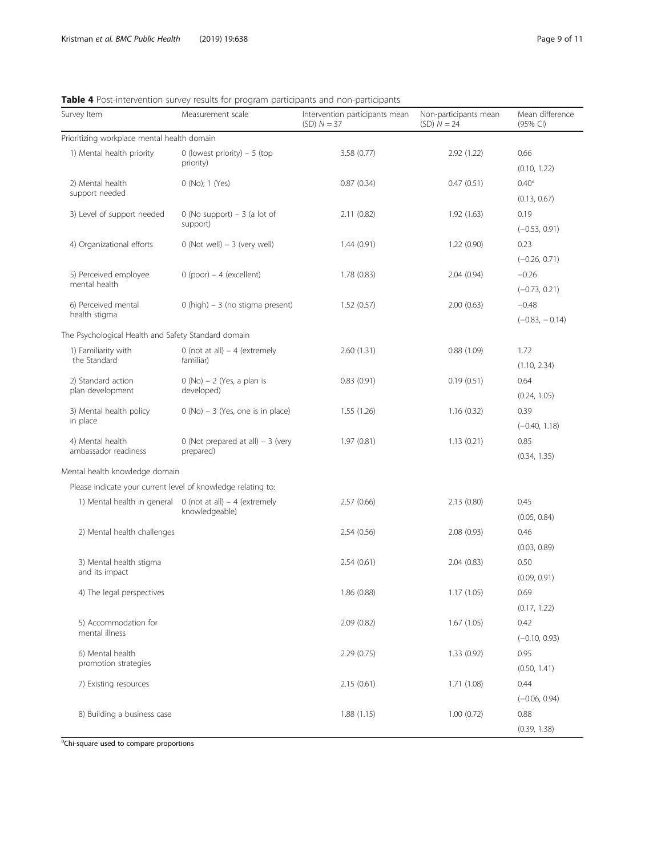| Survey Item                                                  | Measurement scale                                                              | Intervention participants mean<br>$(SD) N = 37$ | Non-participants mean<br>$(SD) N = 24$ | Mean difference<br>(95% CI) |
|--------------------------------------------------------------|--------------------------------------------------------------------------------|-------------------------------------------------|----------------------------------------|-----------------------------|
| Prioritizing workplace mental health domain                  |                                                                                |                                                 |                                        |                             |
| 1) Mental health priority                                    | 0 (lowest priority) $-5$ (top                                                  | 3.58 (0.77)                                     | 2.92 (1.22)                            | 0.66                        |
|                                                              | priority)                                                                      |                                                 |                                        | (0.10, 1.22)                |
| 2) Mental health                                             | 0 (No); 1 (Yes)                                                                | 0.87(0.34)                                      | 0.47(0.51)                             | 0.40 <sup>a</sup>           |
| support needed                                               |                                                                                |                                                 |                                        | (0.13, 0.67)                |
| 3) Level of support needed                                   | $0$ (No support) – 3 (a lot of                                                 | 2.11(0.82)                                      | 1.92(1.63)                             | 0.19                        |
|                                                              | support)                                                                       |                                                 |                                        | $(-0.53, 0.91)$             |
| 4) Organizational efforts                                    | $0$ (Not well) $-3$ (very well)                                                | 1.44(0.91)                                      | 1.22(0.90)                             | 0.23                        |
|                                                              |                                                                                |                                                 |                                        | $(-0.26, 0.71)$             |
| 5) Perceived employee                                        | $0$ (poor) – 4 (excellent)                                                     | 1.78(0.83)                                      | 2.04(0.94)                             | $-0.26$                     |
| mental health                                                |                                                                                |                                                 |                                        | $(-0.73, 0.21)$             |
| 6) Perceived mental                                          | 0 (high) - 3 (no stigma present)                                               | 1.52(0.57)                                      | 2.00(0.63)                             | $-0.48$                     |
| health stigma                                                |                                                                                |                                                 |                                        | $(-0.83, -0.14)$            |
| The Psychological Health and Safety Standard domain          |                                                                                |                                                 |                                        |                             |
| 1) Familiarity with                                          | 0 (not at all) $-4$ (extremely                                                 | 2.60(1.31)                                      | 0.88(1.09)                             | 1.72                        |
| the Standard                                                 | familiar)                                                                      |                                                 |                                        | (1.10, 2.34)                |
| 2) Standard action                                           | $0$ (No) $- 2$ (Yes, a plan is                                                 | 0.83(0.91)                                      | 0.19(0.51)                             | 0.64                        |
| plan development                                             | developed)                                                                     |                                                 |                                        | (0.24, 1.05)                |
| 3) Mental health policy                                      | $0$ (No) $-3$ (Yes, one is in place)                                           | 1.55(1.26)                                      | 1.16(0.32)                             | 0.39                        |
| in place                                                     |                                                                                |                                                 |                                        | $(-0.40, 1.18)$             |
| 4) Mental health                                             | $0$ (Not prepared at all) - 3 (very                                            | 1.97(0.81)                                      | 1.13(0.21)                             | 0.85                        |
| ambassador readiness                                         | prepared)                                                                      |                                                 |                                        | (0.34, 1.35)                |
| Mental health knowledge domain                               |                                                                                |                                                 |                                        |                             |
| Please indicate your current level of knowledge relating to: |                                                                                |                                                 |                                        |                             |
|                                                              | 1) Mental health in general $0$ (not at all) $-4$ (extremely<br>knowledgeable) | 2.57(0.66)                                      | 2.13(0.80)                             | 0.45                        |
|                                                              |                                                                                |                                                 |                                        | (0.05, 0.84)                |
| 2) Mental health challenges                                  |                                                                                | 2.54(0.56)                                      | 2.08(0.93)                             | 0.46                        |
|                                                              |                                                                                |                                                 |                                        | (0.03, 0.89)                |
| 3) Mental health stigma                                      |                                                                                | 2.54(0.61)                                      | 2.04(0.83)                             | 0.50                        |
| and its impact                                               |                                                                                |                                                 |                                        | (0.09, 0.91)                |
| 4) The legal perspectives                                    |                                                                                | 1.86 (0.88)                                     | 1.17(1.05)                             | 0.69                        |
|                                                              |                                                                                |                                                 |                                        | (0.17, 1.22)                |
| 5) Accommodation for                                         |                                                                                | 2.09(0.82)                                      | 1.67(1.05)                             | 0.42                        |
| mental illness                                               |                                                                                |                                                 |                                        | $(-0.10, 0.93)$             |
| 6) Mental health                                             |                                                                                | 2.29(0.75)                                      | 1.33(0.92)                             | 0.95                        |
| promotion strategies                                         |                                                                                |                                                 |                                        | (0.50, 1.41)                |
| 7) Existing resources                                        |                                                                                | 2.15(0.61)                                      | 1.71 (1.08)                            | 0.44                        |
|                                                              |                                                                                |                                                 |                                        | $(-0.06, 0.94)$             |
| 8) Building a business case                                  |                                                                                | 1.88(1.15)                                      | 1.00(0.72)                             | 0.88                        |
|                                                              |                                                                                |                                                 |                                        | (0.39, 1.38)                |

<span id="page-8-0"></span>

| Table 4 Post-intervention survey results for program participants and non-participants |  |  |
|----------------------------------------------------------------------------------------|--|--|

<sup>a</sup>Chi-square used to compare proportions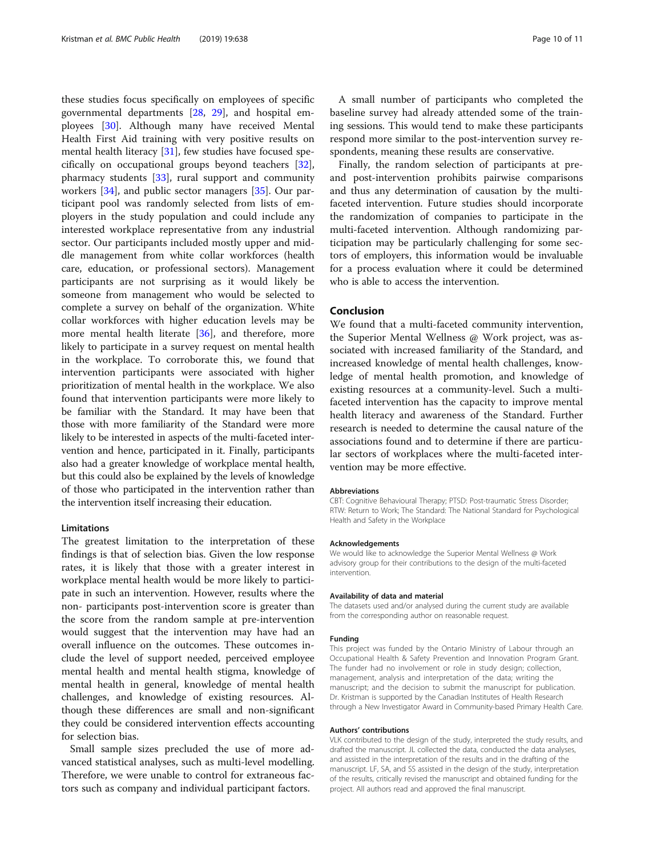these studies focus specifically on employees of specific governmental departments [[28,](#page-10-0) [29](#page-10-0)], and hospital employees [[30\]](#page-10-0). Although many have received Mental Health First Aid training with very positive results on mental health literacy [[31](#page-10-0)], few studies have focused specifically on occupational groups beyond teachers [\[32](#page-10-0)], pharmacy students [[33](#page-10-0)], rural support and community workers [[34\]](#page-10-0), and public sector managers [\[35\]](#page-10-0). Our participant pool was randomly selected from lists of employers in the study population and could include any interested workplace representative from any industrial sector. Our participants included mostly upper and middle management from white collar workforces (health care, education, or professional sectors). Management participants are not surprising as it would likely be someone from management who would be selected to complete a survey on behalf of the organization. White collar workforces with higher education levels may be more mental health literate [[36\]](#page-10-0), and therefore, more likely to participate in a survey request on mental health in the workplace. To corroborate this, we found that intervention participants were associated with higher prioritization of mental health in the workplace. We also found that intervention participants were more likely to be familiar with the Standard. It may have been that those with more familiarity of the Standard were more likely to be interested in aspects of the multi-faceted intervention and hence, participated in it. Finally, participants also had a greater knowledge of workplace mental health, but this could also be explained by the levels of knowledge of those who participated in the intervention rather than the intervention itself increasing their education.

# Limitations

The greatest limitation to the interpretation of these findings is that of selection bias. Given the low response rates, it is likely that those with a greater interest in workplace mental health would be more likely to participate in such an intervention. However, results where the non- participants post-intervention score is greater than the score from the random sample at pre-intervention would suggest that the intervention may have had an overall influence on the outcomes. These outcomes include the level of support needed, perceived employee mental health and mental health stigma, knowledge of mental health in general, knowledge of mental health challenges, and knowledge of existing resources. Although these differences are small and non-significant they could be considered intervention effects accounting for selection bias.

Small sample sizes precluded the use of more advanced statistical analyses, such as multi-level modelling. Therefore, we were unable to control for extraneous factors such as company and individual participant factors.

A small number of participants who completed the baseline survey had already attended some of the training sessions. This would tend to make these participants respond more similar to the post-intervention survey respondents, meaning these results are conservative.

Finally, the random selection of participants at preand post-intervention prohibits pairwise comparisons and thus any determination of causation by the multifaceted intervention. Future studies should incorporate the randomization of companies to participate in the multi-faceted intervention. Although randomizing participation may be particularly challenging for some sectors of employers, this information would be invaluable for a process evaluation where it could be determined who is able to access the intervention.

# Conclusion

We found that a multi-faceted community intervention, the Superior Mental Wellness @ Work project, was associated with increased familiarity of the Standard, and increased knowledge of mental health challenges, knowledge of mental health promotion, and knowledge of existing resources at a community-level. Such a multifaceted intervention has the capacity to improve mental health literacy and awareness of the Standard. Further research is needed to determine the causal nature of the associations found and to determine if there are particular sectors of workplaces where the multi-faceted intervention may be more effective.

#### Abbreviations

CBT: Cognitive Behavioural Therapy; PTSD: Post-traumatic Stress Disorder; RTW: Return to Work; The Standard: The National Standard for Psychological Health and Safety in the Workplace

#### Acknowledgements

We would like to acknowledge the Superior Mental Wellness @ Work advisory group for their contributions to the design of the multi-faceted intervention.

# Availability of data and material

The datasets used and/or analysed during the current study are available from the corresponding author on reasonable request.

# Funding

This project was funded by the Ontario Ministry of Labour through an Occupational Health & Safety Prevention and Innovation Program Grant. The funder had no involvement or role in study design; collection, management, analysis and interpretation of the data; writing the manuscript; and the decision to submit the manuscript for publication. Dr. Kristman is supported by the Canadian Institutes of Health Research through a New Investigator Award in Community-based Primary Health Care.

## Authors' contributions

VLK contributed to the design of the study, interpreted the study results, and drafted the manuscript. JL collected the data, conducted the data analyses, and assisted in the interpretation of the results and in the drafting of the manuscript. LF, SA, and SS assisted in the design of the study, interpretation of the results, critically revised the manuscript and obtained funding for the project. All authors read and approved the final manuscript.